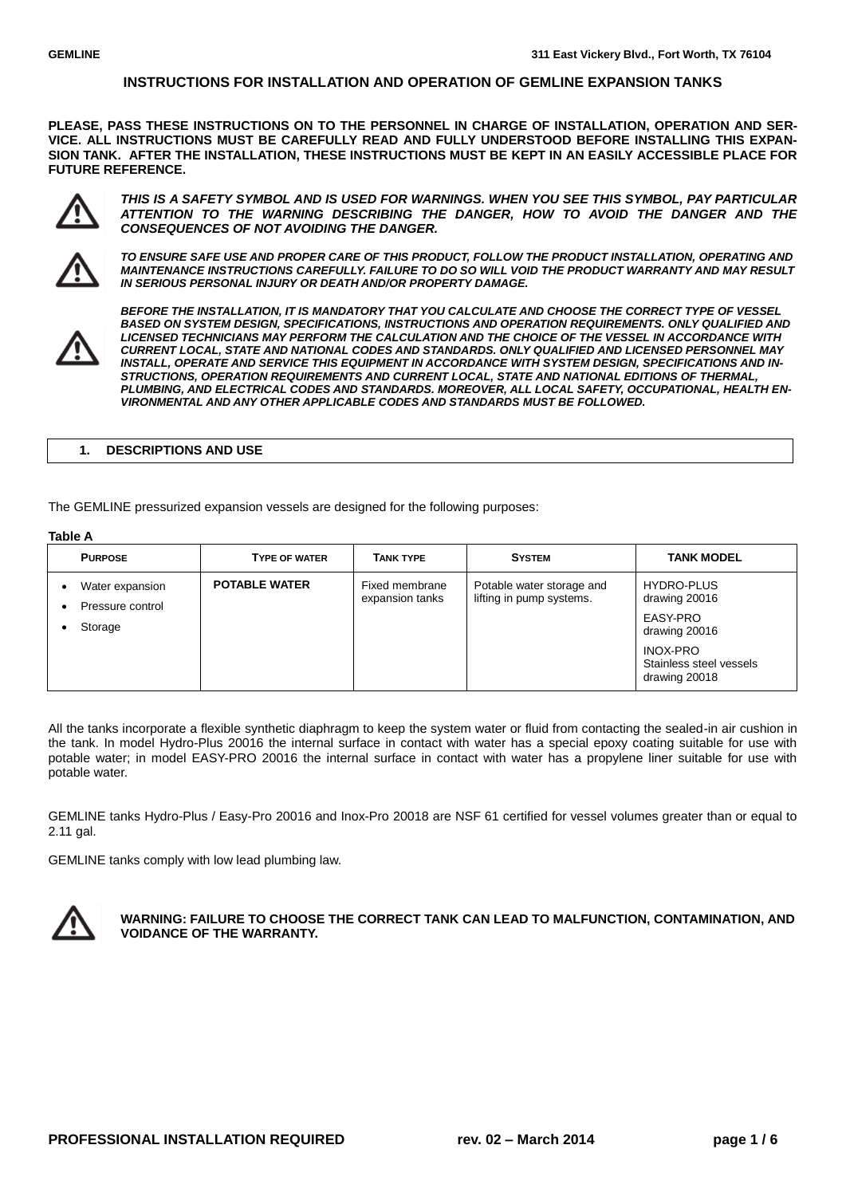**PLEASE, PASS THESE INSTRUCTIONS ON TO THE PERSONNEL IN CHARGE OF INSTALLATION, OPERATION AND SER-VICE. ALL INSTRUCTIONS MUST BE CAREFULLY READ AND FULLY UNDERSTOOD BEFORE INSTALLING THIS EXPAN-SION TANK. AFTER THE INSTALLATION, THESE INSTRUCTIONS MUST BE KEPT IN AN EASILY ACCESSIBLE PLACE FOR FUTURE REFERENCE.**



*THIS IS A SAFETY SYMBOL AND IS USED FOR WARNINGS. WHEN YOU SEE THIS SYMBOL, PAY PARTICULAR ATTENTION TO THE WARNING DESCRIBING THE DANGER, HOW TO AVOID THE DANGER AND THE CONSEQUENCES OF NOT AVOIDING THE DANGER.*



*TO ENSURE SAFE USE AND PROPER CARE OF THIS PRODUCT, FOLLOW THE PRODUCT INSTALLATION, OPERATING AND MAINTENANCE INSTRUCTIONS CAREFULLY. FAILURE TO DO SO WILL VOID THE PRODUCT WARRANTY AND MAY RESULT IN SERIOUS PERSONAL INJURY OR DEATH AND/OR PROPERTY DAMAGE.* 



*BEFORE THE INSTALLATION, IT IS MANDATORY THAT YOU CALCULATE AND CHOOSE THE CORRECT TYPE OF VESSEL BASED ON SYSTEM DESIGN, SPECIFICATIONS, INSTRUCTIONS AND OPERATION REQUIREMENTS. ONLY QUALIFIED AND LICENSED TECHNICIANS MAY PERFORM THE CALCULATION AND THE CHOICE OF THE VESSEL IN ACCORDANCE WITH CURRENT LOCAL, STATE AND NATIONAL CODES AND STANDARDS. ONLY QUALIFIED AND LICENSED PERSONNEL MAY INSTALL, OPERATE AND SERVICE THIS EQUIPMENT IN ACCORDANCE WITH SYSTEM DESIGN, SPECIFICATIONS AND IN-STRUCTIONS, OPERATION REQUIREMENTS AND CURRENT LOCAL, STATE AND NATIONAL EDITIONS OF THERMAL, PLUMBING, AND ELECTRICAL CODES AND STANDARDS. MOREOVER, ALL LOCAL SAFETY, OCCUPATIONAL, HEALTH EN-VIRONMENTAL AND ANY OTHER APPLICABLE CODES AND STANDARDS MUST BE FOLLOWED.*

## **1. DESCRIPTIONS AND USE**

The GEMLINE pressurized expansion vessels are designed for the following purposes:

## **Table A**

| 14015K                                         |                      |                                   |                                                       |                                                                                                                         |  |  |  |
|------------------------------------------------|----------------------|-----------------------------------|-------------------------------------------------------|-------------------------------------------------------------------------------------------------------------------------|--|--|--|
| <b>PURPOSE</b>                                 | <b>TYPE OF WATER</b> | <b>TANK TYPE</b>                  | <b>SYSTEM</b>                                         | <b>TANK MODEL</b>                                                                                                       |  |  |  |
| Water expansion<br>Pressure control<br>Storage | <b>POTABLE WATER</b> | Fixed membrane<br>expansion tanks | Potable water storage and<br>lifting in pump systems. | <b>HYDRO-PLUS</b><br>drawing 20016<br>EASY-PRO<br>drawing 20016<br>INOX-PRO<br>Stainless steel vessels<br>drawing 20018 |  |  |  |

All the tanks incorporate a flexible synthetic diaphragm to keep the system water or fluid from contacting the sealed-in air cushion in the tank. In model Hydro-Plus 20016 the internal surface in contact with water has a special epoxy coating suitable for use with potable water; in model EASY-PRO 20016 the internal surface in contact with water has a propylene liner suitable for use with potable water.

GEMLINE tanks Hydro-Plus / Easy-Pro 20016 and Inox-Pro 20018 are NSF 61 certified for vessel volumes greater than or equal to 2.11 gal.

GEMLINE tanks comply with low lead plumbing law.



**WARNING: FAILURE TO CHOOSE THE CORRECT TANK CAN LEAD TO MALFUNCTION, CONTAMINATION, AND VOIDANCE OF THE WARRANTY.**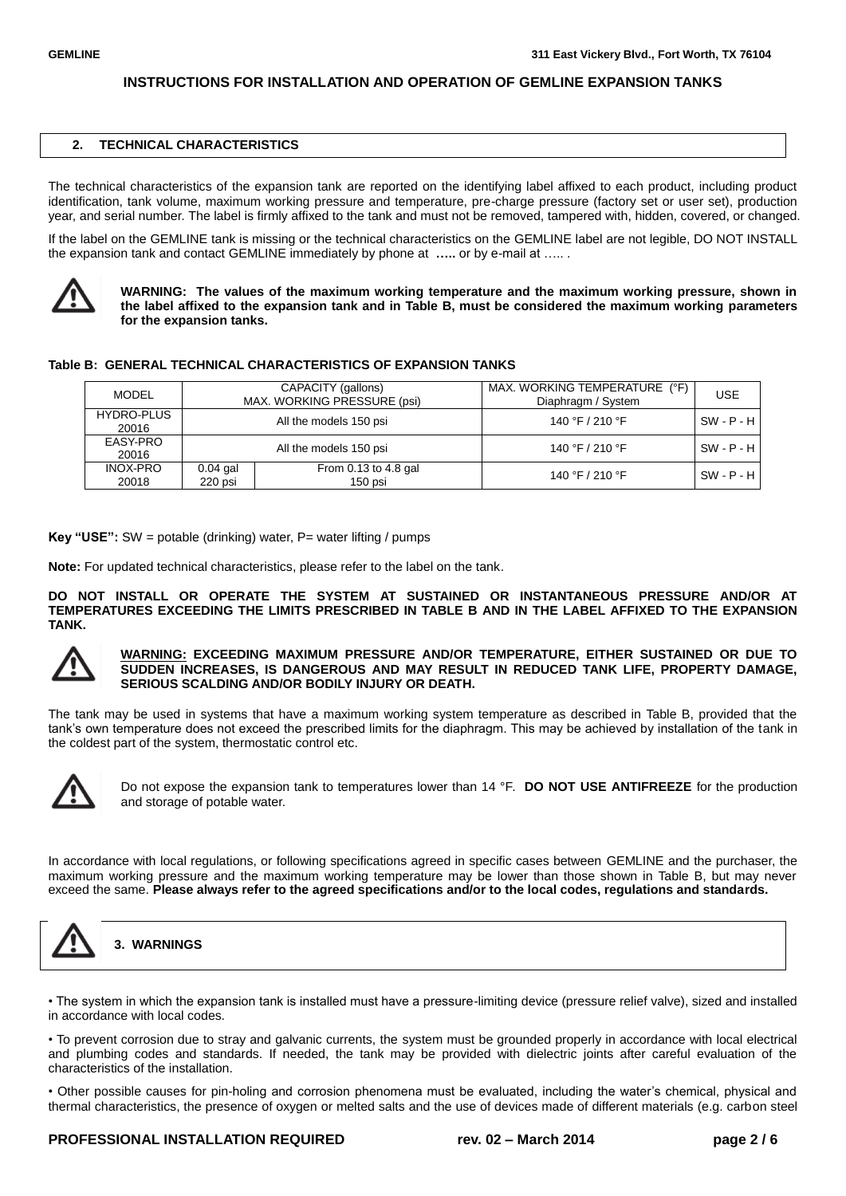### **2. TECHNICAL CHARACTERISTICS**

The technical characteristics of the expansion tank are reported on the identifying label affixed to each product, including product identification, tank volume, maximum working pressure and temperature, pre-charge pressure (factory set or user set), production year, and serial number. The label is firmly affixed to the tank and must not be removed, tampered with, hidden, covered, or changed.

If the label on the GEMLINE tank is missing or the technical characteristics on the GEMLINE label are not legible, DO NOT INSTALL the expansion tank and contact GEMLINE immediately by phone at **…..** or by e-mail at ….. .



**WARNING: The values of the maximum working temperature and the maximum working pressure, shown in the label affixed to the expansion tank and in Table B, must be considered the maximum working parameters for the expansion tanks.**

## **Table B: GENERAL TECHNICAL CHARACTERISTICS OF EXPANSION TANKS**

| MODEL                      | CAPACITY (gallons)<br>MAX. WORKING PRESSURE (psi) |                                   | $(^{\circ}F)$<br>MAX. WORKING TEMPERATURE<br>Diaphragm / System | <b>USE</b>   |
|----------------------------|---------------------------------------------------|-----------------------------------|-----------------------------------------------------------------|--------------|
| <b>HYDRO-PLUS</b><br>20016 | All the models 150 psi                            |                                   | 140 °F / 210 °F                                                 | $SW - P - H$ |
| EASY-PRO<br>20016          | All the models 150 psi                            |                                   | 140 °F / 210 °F                                                 | $SW - P - H$ |
| <b>INOX-PRO</b><br>20018   | $0.04$ gal<br>220 psi                             | From 0.13 to 4.8 gal<br>$150$ psi | 140 °F / 210 °F                                                 | $SW - P - H$ |

**Key "USE":** SW = potable (drinking) water, P= water lifting / pumps

**Note:** For updated technical characteristics, please refer to the label on the tank.

**DO NOT INSTALL OR OPERATE THE SYSTEM AT SUSTAINED OR INSTANTANEOUS PRESSURE AND/OR AT TEMPERATURES EXCEEDING THE LIMITS PRESCRIBED IN TABLE B AND IN THE LABEL AFFIXED TO THE EXPANSION TANK.**



### **WARNING: EXCEEDING MAXIMUM PRESSURE AND/OR TEMPERATURE, EITHER SUSTAINED OR DUE TO SUDDEN INCREASES, IS DANGEROUS AND MAY RESULT IN REDUCED TANK LIFE, PROPERTY DAMAGE, SERIOUS SCALDING AND/OR BODILY INJURY OR DEATH.**

The tank may be used in systems that have a maximum working system temperature as described in Table B, provided that the tank's own temperature does not exceed the prescribed limits for the diaphragm. This may be achieved by installation of the tank in the coldest part of the system, thermostatic control etc.



Do not expose the expansion tank to temperatures lower than 14 °F. **DO NOT USE ANTIFREEZE** for the production and storage of potable water.

In accordance with local regulations, or following specifications agreed in specific cases between GEMLINE and the purchaser, the maximum working pressure and the maximum working temperature may be lower than those shown in Table B, but may never exceed the same. **Please always refer to the agreed specifications and/or to the local codes, regulations and standards.**



**3. WARNINGS**

• The system in which the expansion tank is installed must have a pressure-limiting device (pressure relief valve), sized and installed in accordance with local codes.

• To prevent corrosion due to stray and galvanic currents, the system must be grounded properly in accordance with local electrical and plumbing codes and standards. If needed, the tank may be provided with dielectric joints after careful evaluation of the characteristics of the installation.

• Other possible causes for pin-holing and corrosion phenomena must be evaluated, including the water's chemical, physical and thermal characteristics, the presence of oxygen or melted salts and the use of devices made of different materials (e.g. carbon steel

## **PROFESSIONAL INSTALLATION REQUIRED rev. 02 – March 2014 page 2 / 6**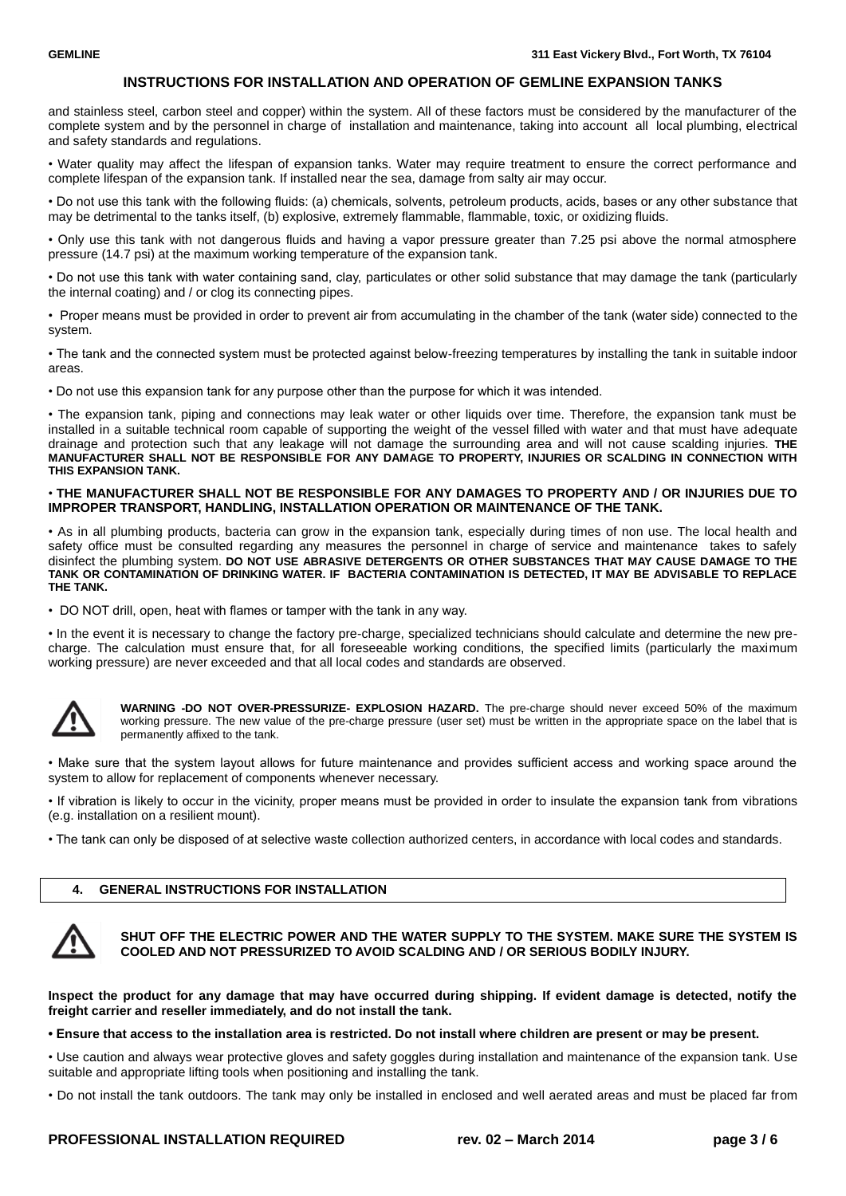and stainless steel, carbon steel and copper) within the system. All of these factors must be considered by the manufacturer of the complete system and by the personnel in charge of installation and maintenance, taking into account all local plumbing, electrical and safety standards and regulations.

• Water quality may affect the lifespan of expansion tanks. Water may require treatment to ensure the correct performance and complete lifespan of the expansion tank. If installed near the sea, damage from salty air may occur.

• Do not use this tank with the following fluids: (a) chemicals, solvents, petroleum products, acids, bases or any other substance that may be detrimental to the tanks itself, (b) explosive, extremely flammable, flammable, toxic, or oxidizing fluids.

• Only use this tank with not dangerous fluids and having a vapor pressure greater than 7.25 psi above the normal atmosphere pressure (14.7 psi) at the maximum working temperature of the expansion tank.

• Do not use this tank with water containing sand, clay, particulates or other solid substance that may damage the tank (particularly the internal coating) and / or clog its connecting pipes.

• Proper means must be provided in order to prevent air from accumulating in the chamber of the tank (water side) connected to the system.

• The tank and the connected system must be protected against below-freezing temperatures by installing the tank in suitable indoor areas.

• Do not use this expansion tank for any purpose other than the purpose for which it was intended.

• The expansion tank, piping and connections may leak water or other liquids over time. Therefore, the expansion tank must be installed in a suitable technical room capable of supporting the weight of the vessel filled with water and that must have adequate drainage and protection such that any leakage will not damage the surrounding area and will not cause scalding injuries. **THE MANUFACTURER SHALL NOT BE RESPONSIBLE FOR ANY DAMAGE TO PROPERTY, INJURIES OR SCALDING IN CONNECTION WITH THIS EXPANSION TANK.**

## • **THE MANUFACTURER SHALL NOT BE RESPONSIBLE FOR ANY DAMAGES TO PROPERTY AND / OR INJURIES DUE TO IMPROPER TRANSPORT, HANDLING, INSTALLATION OPERATION OR MAINTENANCE OF THE TANK.**

• As in all plumbing products, bacteria can grow in the expansion tank, especially during times of non use. The local health and safety office must be consulted regarding any measures the personnel in charge of service and maintenance takes to safely disinfect the plumbing system. **DO NOT USE ABRASIVE DETERGENTS OR OTHER SUBSTANCES THAT MAY CAUSE DAMAGE TO THE TANK OR CONTAMINATION OF DRINKING WATER. IF BACTERIA CONTAMINATION IS DETECTED, IT MAY BE ADVISABLE TO REPLACE THE TANK.**

• DO NOT drill, open, heat with flames or tamper with the tank in any way.

• In the event it is necessary to change the factory pre-charge, specialized technicians should calculate and determine the new precharge. The calculation must ensure that, for all foreseeable working conditions, the specified limits (particularly the maximum working pressure) are never exceeded and that all local codes and standards are observed.



**WARNING -DO NOT OVER-PRESSURIZE- EXPLOSION HAZARD.** The pre-charge should never exceed 50% of the maximum working pressure. The new value of the pre-charge pressure (user set) must be written in the appropriate space on the label that is permanently affixed to the tank.

• Make sure that the system layout allows for future maintenance and provides sufficient access and working space around the system to allow for replacement of components whenever necessary.

• If vibration is likely to occur in the vicinity, proper means must be provided in order to insulate the expansion tank from vibrations (e.g. installation on a resilient mount).

• The tank can only be disposed of at selective waste collection authorized centers, in accordance with local codes and standards.

## **4. GENERAL INSTRUCTIONS FOR INSTALLATION**



## **SHUT OFF THE ELECTRIC POWER AND THE WATER SUPPLY TO THE SYSTEM. MAKE SURE THE SYSTEM IS COOLED AND NOT PRESSURIZED TO AVOID SCALDING AND / OR SERIOUS BODILY INJURY.**

**Inspect the product for any damage that may have occurred during shipping. If evident damage is detected, notify the freight carrier and reseller immediately, and do not install the tank.**

**• Ensure that access to the installation area is restricted. Do not install where children are present or may be present.**

• Use caution and always wear protective gloves and safety goggles during installation and maintenance of the expansion tank. Use suitable and appropriate lifting tools when positioning and installing the tank.

• Do not install the tank outdoors. The tank may only be installed in enclosed and well aerated areas and must be placed far from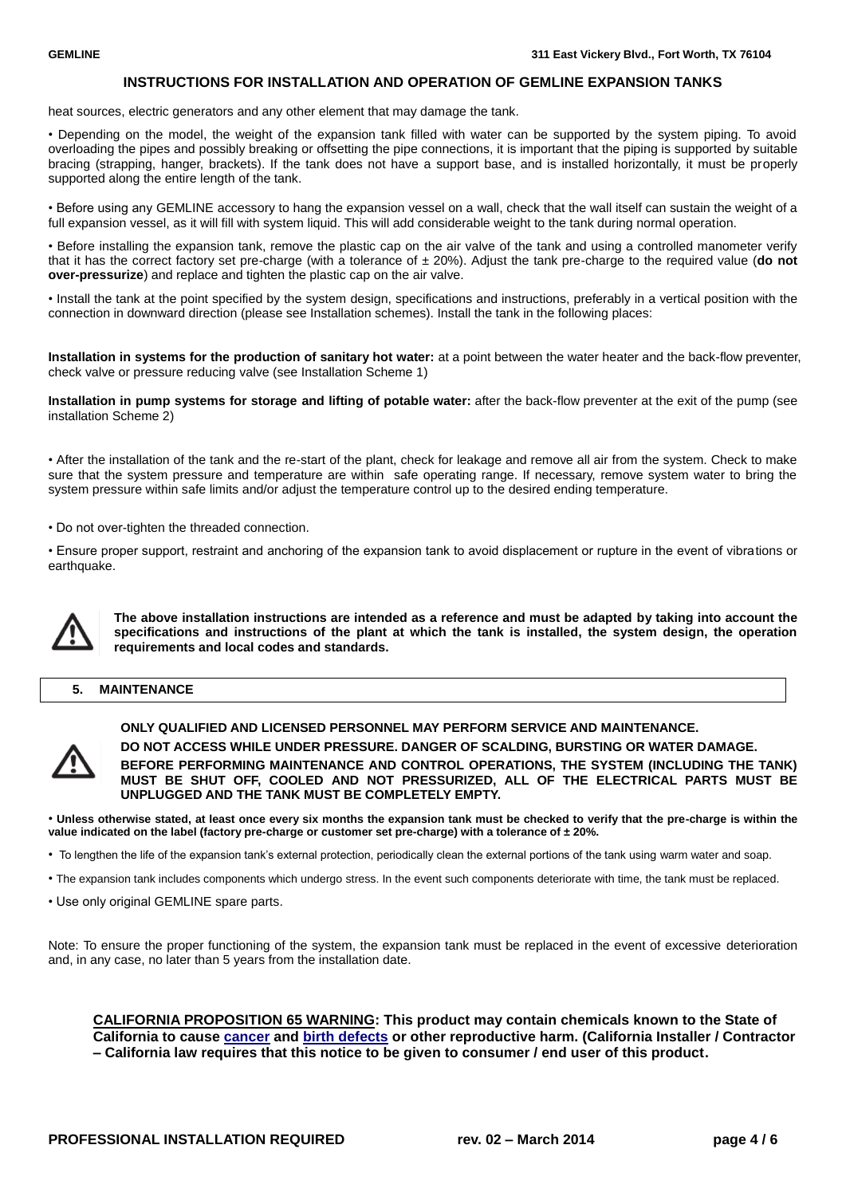heat sources, electric generators and any other element that may damage the tank.

• Depending on the model, the weight of the expansion tank filled with water can be supported by the system piping. To avoid overloading the pipes and possibly breaking or offsetting the pipe connections, it is important that the piping is supported by suitable bracing (strapping, hanger, brackets). If the tank does not have a support base, and is installed horizontally, it must be properly supported along the entire length of the tank.

• Before using any GEMLINE accessory to hang the expansion vessel on a wall, check that the wall itself can sustain the weight of a full expansion vessel, as it will fill with system liquid. This will add considerable weight to the tank during normal operation.

• Before installing the expansion tank, remove the plastic cap on the air valve of the tank and using a controlled manometer verify that it has the correct factory set pre-charge (with a tolerance of ± 20%). Adjust the tank pre-charge to the required value (**do not over-pressurize**) and replace and tighten the plastic cap on the air valve.

• Install the tank at the point specified by the system design, specifications and instructions, preferably in a vertical position with the connection in downward direction (please see Installation schemes). Install the tank in the following places:

**Installation in systems for the production of sanitary hot water:** at a point between the water heater and the back-flow preventer, check valve or pressure reducing valve (see Installation Scheme 1)

**Installation in pump systems for storage and lifting of potable water:** after the back-flow preventer at the exit of the pump (see installation Scheme 2)

• After the installation of the tank and the re-start of the plant, check for leakage and remove all air from the system. Check to make sure that the system pressure and temperature are within safe operating range. If necessary, remove system water to bring the system pressure within safe limits and/or adjust the temperature control up to the desired ending temperature.

• Do not over-tighten the threaded connection.

• Ensure proper support, restraint and anchoring of the expansion tank to avoid displacement or rupture in the event of vibrations or earthquake.



**The above installation instructions are intended as a reference and must be adapted by taking into account the specifications and instructions of the plant at which the tank is installed, the system design, the operation requirements and local codes and standards.**

## **5. MAINTENANCE**



**ONLY QUALIFIED AND LICENSED PERSONNEL MAY PERFORM SERVICE AND MAINTENANCE. DO NOT ACCESS WHILE UNDER PRESSURE. DANGER OF SCALDING, BURSTING OR WATER DAMAGE.**

**BEFORE PERFORMING MAINTENANCE AND CONTROL OPERATIONS, THE SYSTEM (INCLUDING THE TANK) MUST BE SHUT OFF, COOLED AND NOT PRESSURIZED, ALL OF THE ELECTRICAL PARTS MUST BE UNPLUGGED AND THE TANK MUST BE COMPLETELY EMPTY.**

• **Unless otherwise stated, at least once every six months the expansion tank must be checked to verify that the pre-charge is within the value indicated on the label (factory pre-charge or customer set pre-charge) with a tolerance of ± 20%.**

• To lengthen the life of the expansion tank's external protection, periodically clean the external portions of the tank using warm water and soap.

- The expansion tank includes components which undergo stress. In the event such components deteriorate with time, the tank must be replaced.
- Use only original GEMLINE spare parts.

Note: To ensure the proper functioning of the system, the expansion tank must be replaced in the event of excessive deterioration and, in any case, no later than 5 years from the installation date.

**CALIFORNIA PROPOSITION 65 WARNING: This product may contain chemicals known to the State of California to cause [cancer](http://en.wikipedia.org/wiki/Cancer) and [birth defects](http://en.wikipedia.org/wiki/Birth_defect) or other reproductive harm. (California Installer / Contractor – California law requires that this notice to be given to consumer / end user of this product.**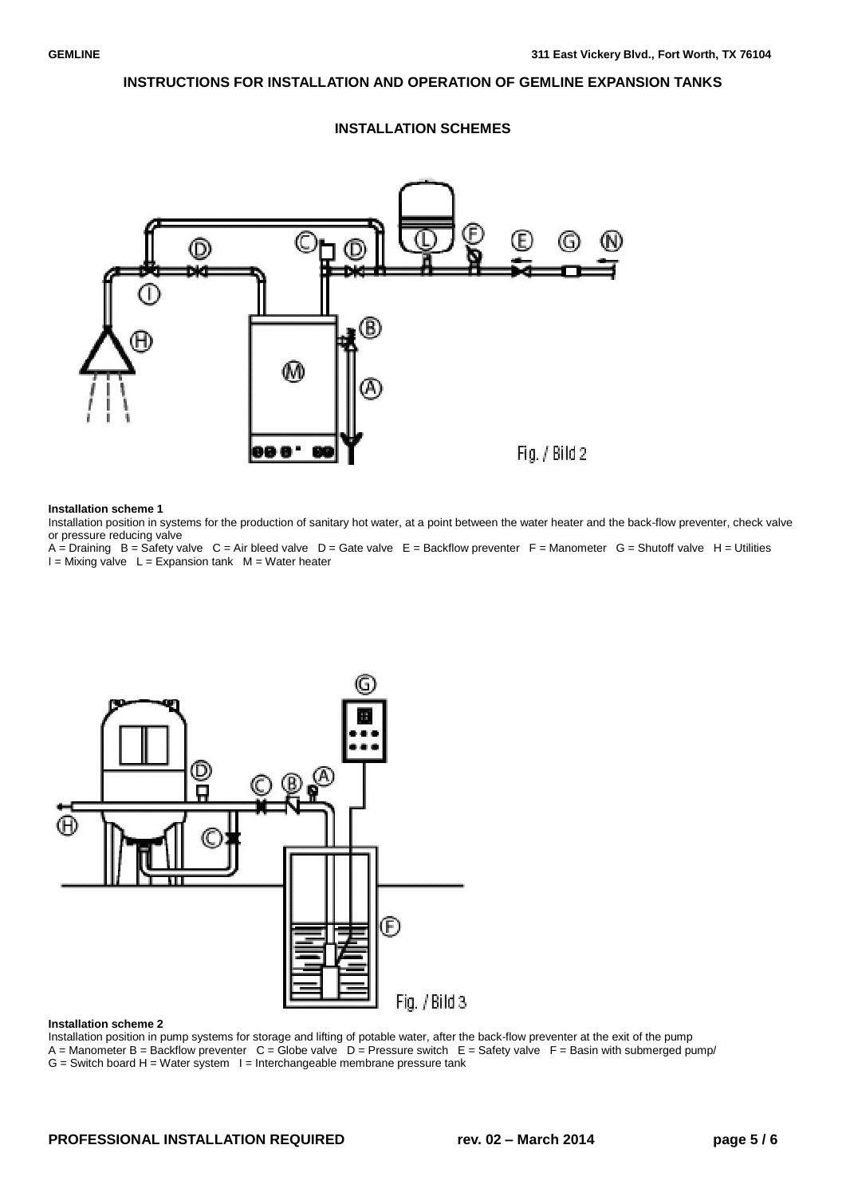

## **INSTALLATION SCHEMES**

#### **Installation scheme 1**

Installation position in systems for the production of sanitary hot water, at a point between the water heater and the back-flow preventer, check valve or pressure reducing valve

 $A =$  Draining  $B =$  Safety valve  $C =$  Air bleed valve  $D =$  Gate valve  $E =$  Backflow preventer  $F =$  Manometer  $G =$  Shutoff valve  $H =$  Utilities  $I =$  Mixing valve  $L =$  Expansion tank  $M =$  Water heater



#### **Installation scheme 2**

Installation position in pump systems for storage and lifting of potable water, after the back-flow preventer at the exit of the pump A = Manometer B = Backflow preventer  $C =$  Globe valve  $D =$  Pressure switch  $E =$  Safety valve  $F =$  Basin with submerged pump/

 $G =$  Switch board H = Water system  $I =$  Interchangeable membrane pressure tank